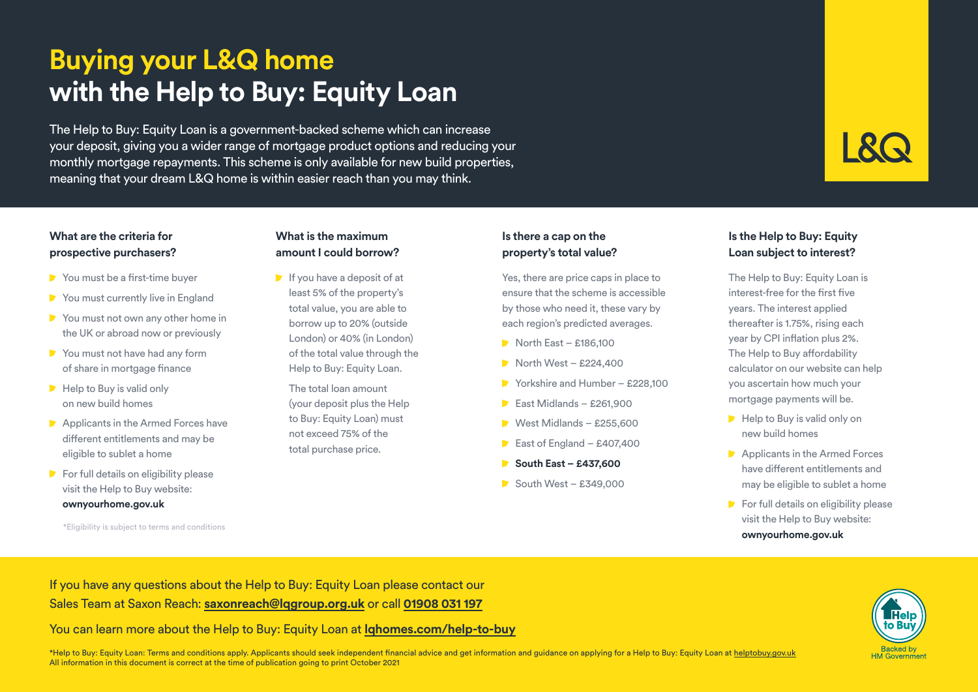# **Buying your L&Q home with the Help to Buy: Equity Loan**

The Help to Buy: Equity Loan is a government-backed scheme which can increase your deposit, giving you a wider range of mortgage product options and reducing your monthly mortgage repayments. This scheme is only available for new build properties, meaning that your dream L&Q home is within easier reach than you may think.

# **What are the criteria for prospective purchasers?**

- You must be a first-time buyer
- You must currently live in England
- You must not own any other home in the UK or abroad now or previously
- You must not have had any form of share in mortgage finance
- $\blacktriangleright$  Help to Buy is valid only on new build homes
- Applicants in the Armed Forces have different entitlements and may be eligible to sublet a home
- $\blacktriangleright$  For full details on eligibility please visit the Help to Buy website: **ownyourhome.gov.uk**

\*Eligibility is subject to terms and conditions

#### **What is the maximum amount I could borrow?**

 $\blacktriangleright$  If you have a deposit of at least 5% of the property's total value, you are able to borrow up to 20% (outside London) or 40% (in London) of the total value through the Help to Buy: Equity Loan.

 The total loan amount (your deposit plus the Help to Buy: Equity Loan) must not exceed 75% of the total purchase price.

### **Is there a cap on the property's total value?**

Yes, there are price caps in place to ensure that the scheme is accessible by those who need it, these vary by each region's predicted averages.

- $\blacksquare$  North East £186,100
- $\blacksquare$  North West £224,400
- Yorkshire and Humber £228,100
- $\blacktriangleright$  East Midlands £261,900
- $\triangleright$  West Midlands £255,600
- East of England £407,400
- **South East £437,600**
- $\blacktriangleright$  South West £349,000

# **Is the Help to Buy: Equity Loan subject to interest?**

The Help to Buy: Equity Loan is interest-free for the first five years. The interest applied thereafter is 1.75%, rising each year by CPI inflation plus 2%. The Help to Buy affordability calculator on our website can help you ascertain how much your mortgage payments will be.

- $\blacktriangleright$  Help to Buy is valid only on new build homes
- Applicants in the Armed Forces have different entitlements and may be eligible to sublet a home
- $\triangleright$  For full details on eligibility please visit the Help to Buy website: **ownyourhome.gov.uk**

If you have any questions about the Help to Buy: Equity Loan please contact our Sales Team at Saxon Reach: **saxonreach@lqgroup.org.uk** or call **01908 031 197**

You can learn more about the Help to Buy: Equity Loan at **lqhomes.com/help-to-buy**

\*Help to Buy: Equity Loan: Terms and conditions apply. Applicants should seek independent financial advice and get information and guidance on applying for a Help to Buy: Equity Loan at helptobuy.gov.uk All information in this document is correct at the time of publication going to print October 2021